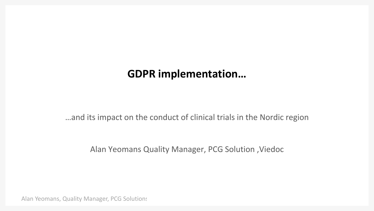# **GDPR implementation…**

…and its impact on the conduct of clinical trials in the Nordic region

Alan Yeomans Quality Manager, PCG Solution ,Viedoc

Alan Yeomans, Quality Manager, PCG Solutions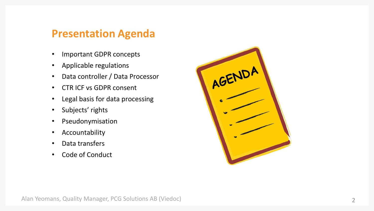### **Presentation Agenda**

- Important GDPR concepts
- Applicable regulations
- Data controller / Data Processor
- CTR ICF vs GDPR consent
- Legal basis for data processing
- Subjects' rights
- Pseudonymisation
- Accountability
- Data transfers
- Code of Conduct

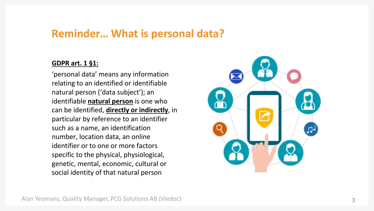### **Reminder… What is personal data?**

#### **GDPR art. 1 §1:**

'personal data' means any information relating to an identified or identifiable natural person ('data subject'); an identifiable **natural person** is one who can be identified, **directly or indirectly**, in particular by reference to an identifier such as a name, an identification number, location data, an online identifier or to one or more factors specific to the physical, physiological, genetic, mental, economic, cultural or social identity of that natural person

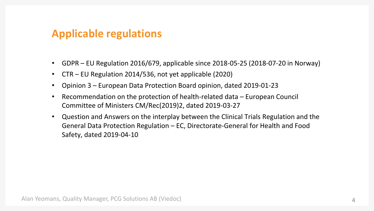# **Applicable regulations**

- GDPR EU Regulation 2016/679, applicable since 2018-05-25 (2018-07-20 in Norway)
- CTR EU Regulation 2014/536, not yet applicable (2020)
- Opinion 3 European Data Protection Board opinion, dated 2019-01-23
- Recommendation on the protection of health-related data European Council Committee of Ministers CM/Rec(2019)2, dated 2019-03-27
- Question and Answers on the interplay between the Clinical Trials Regulation and the General Data Protection Regulation – EC, Directorate-General for Health and Food Safety, dated 2019-04-10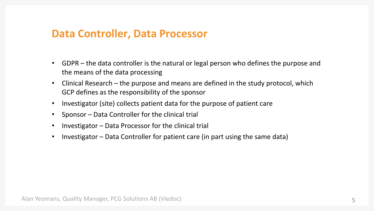### **Data Controller, Data Processor**

- GDPR the data controller is the natural or legal person who defines the purpose and the means of the data processing
- Clinical Research the purpose and means are defined in the study protocol, which GCP defines as the responsibility of the sponsor
- Investigator (site) collects patient data for the purpose of patient care
- Sponsor Data Controller for the clinical trial
- Investigator Data Processor for the clinical trial
- Investigator Data Controller for patient care (in part using the same data)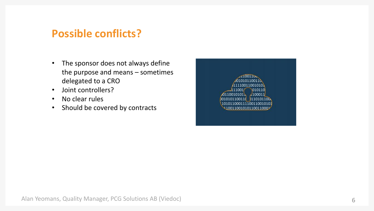### **Possible conflicts?**

- The sponsor does not always define the purpose and means – sometimes delegated to a CRO
- Joint controllers?
- No clear rules
- Should be covered by contracts

1110011001010 010110  $(100011)$ 01100101011 101011000111100110010101 10011001010110011000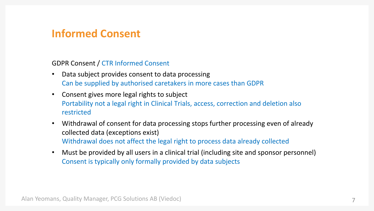# **Informed Consent**

GDPR Consent / CTR Informed Consent

- Data subject provides consent to data processing Can be supplied by authorised caretakers in more cases than GDPR
- Consent gives more legal rights to subject Portability not a legal right in Clinical Trials, access, correction and deletion also restricted
- Withdrawal of consent for data processing stops further processing even of already collected data (exceptions exist) Withdrawal does not affect the legal right to process data already collected
- Must be provided by all users in a clinical trial (including site and sponsor personnel) Consent is typically only formally provided by data subjects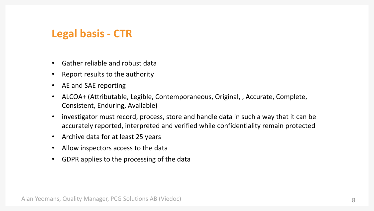# **Legal basis - CTR**

- Gather reliable and robust data
- Report results to the authority
- AE and SAE reporting
- ALCOA+ (Attributable, Legible, Contemporaneous, Original, , Accurate, Complete, Consistent, Enduring, Available)
- investigator must record, process, store and handle data in such a way that it can be accurately reported, interpreted and verified while confidentiality remain protected
- Archive data for at least 25 years
- Allow inspectors access to the data
- GDPR applies to the processing of the data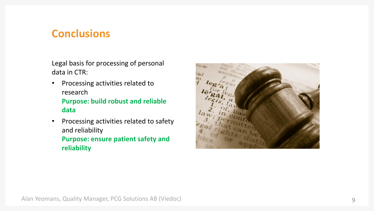### **Conclusions**

Legal basis for processing of personal data in CTR:

- Processing activities related to research **Purpose: build robust and reliable data**
- Processing activities related to safety and reliability **Purpose: ensure patient safety and reliability**

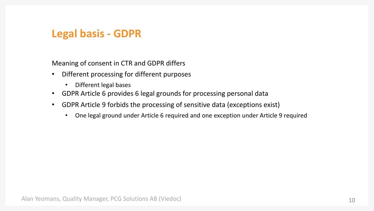# **Legal basis - GDPR**

Meaning of consent in CTR and GDPR differs

- Different processing for different purposes
	- Different legal bases
- GDPR Article 6 provides 6 legal grounds for processing personal data
- GDPR Article 9 forbids the processing of sensitive data (exceptions exist)
	- One legal ground under Article 6 required and one exception under Article 9 required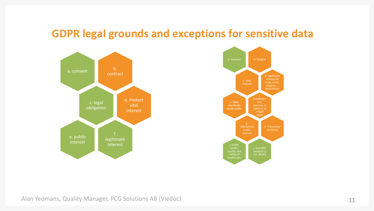### **GDPR legal grounds and exceptions for sensitive data**





Alan Yeomans, Quality Manager, PCG Solutions AB (Viedoc)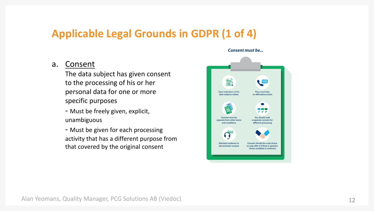# **Applicable Legal Grounds in GDPR (1 of 4)**

#### a. Consent

The data subject has given consent to the processing of his or her personal data for one or more specific purposes

- Must be freely given, explicit, unambiguous
- Must be given for each processing activity that has a different purpose from that covered by the original consent

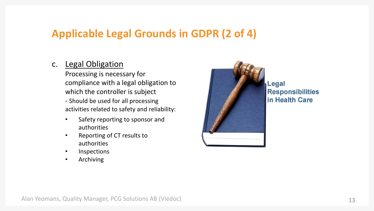# **Applicable Legal Grounds in GDPR (2 of 4)**

### c. Legal Obligation

Processing is necessary for compliance with a legal obligation to which the controller is subject - Should be used for all processing

activities related to safety and reliability:

- Safety reporting to sponsor and authorities
- Reporting of CT results to authorities
- Inspections
- Archiving



Legal **Responsibilities** in Health Care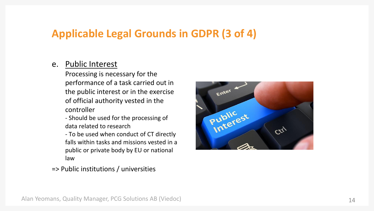# **Applicable Legal Grounds in GDPR (3 of 4)**

#### e. Public Interest

Processing is necessary for the performance of a task carried out in the public interest or in the exercise of official authority vested in the controller

- Should be used for the processing of data related to research

- To be used when conduct of CT directly falls within tasks and missions vested in a public or private body by EU or national law

Enter Public<br>Public<br>Interest Ctrl

=> Public institutions / universities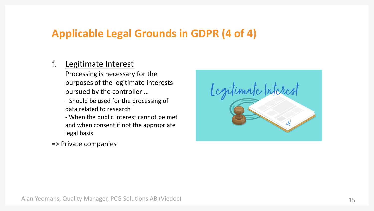# **Applicable Legal Grounds in GDPR (4 of 4)**

### f. Legitimate Interest

Processing is necessary for the purposes of the legitimate interests pursued by the controller …

- Should be used for the processing of data related to research
- When the public interest cannot be met and when consent if not the appropriate legal basis
- => Private companies

Legitimate Interes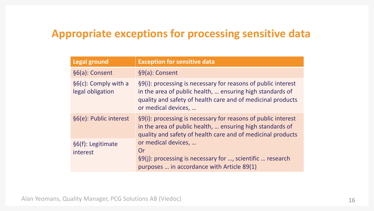# **Appropriate exceptions for processing sensitive data**

| <b>Legal ground</b>                      | <b>Exception for sensitive data</b>                                                                                                                                                                              |
|------------------------------------------|------------------------------------------------------------------------------------------------------------------------------------------------------------------------------------------------------------------|
| §6(a): Consent                           | §9(a): Consent                                                                                                                                                                                                   |
| §6(c): Comply with a<br>legal obligation | §9(i): processing is necessary for reasons of public interest<br>in the area of public health,  ensuring high standards of<br>quality and safety of health care and of medicinal products<br>or medical devices, |
| §6(e): Public interest                   | §9(i): processing is necessary for reasons of public interest<br>in the area of public health,  ensuring high standards of<br>quality and safety of health care and of medicinal products                        |
| §6(f): Legitimate<br>interest            | or medical devices,<br>Or<br>§9(j): processing is necessary for , scientific  research<br>purposes  in accordance with Article 89(1)                                                                             |

Alan Yeomans, Quality Manager, PCG Solutions AB (Viedoc)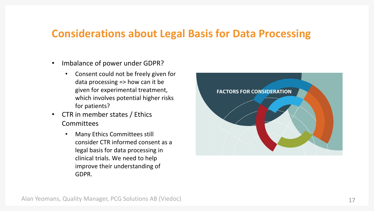### **Considerations about Legal Basis for Data Processing**

- Imbalance of power under GDPR?
	- Consent could not be freely given for data processing => how can it be given for experimental treatment, which involves potential higher risks for patients?
- CTR in member states / Ethics **Committees** 
	- Many Ethics Committees still consider CTR informed consent as a legal basis for data processing in clinical trials. We need to help improve their understanding of GDPR.

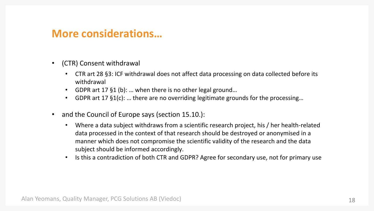### **More considerations…**

- (CTR) Consent withdrawal
	- CTR art 28 §3: ICF withdrawal does not affect data processing on data collected before its withdrawal
	- GDPR art 17 §1 (b): … when there is no other legal ground…
	- GDPR art 17 §1(c): … there are no overriding legitimate grounds for the processing…
- and the Council of Europe says (section 15.10.):
	- Where a data subject withdraws from a scientific research project, his / her health-related data processed in the context of that research should be destroyed or anonymised in a manner which does not compromise the scientific validity of the research and the data subject should be informed accordingly.
	- Is this a contradiction of both CTR and GDPR? Agree for secondary use, not for primary use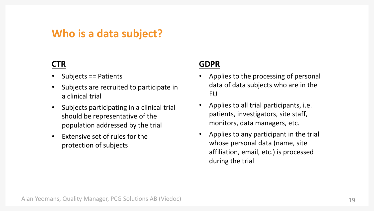### **Who is a data subject?**

### **CTR**

- Subjects == Patients
- Subjects are recruited to participate in a clinical trial
- Subjects participating in a clinical trial should be representative of the population addressed by the trial
- Extensive set of rules for the protection of subjects

### **GDPR**

- Applies to the processing of personal data of data subjects who are in the EU
- Applies to all trial participants, i.e. patients, investigators, site staff, monitors, data managers, etc.
- Applies to any participant in the trial whose personal data (name, site affiliation, email, etc.) is processed during the trial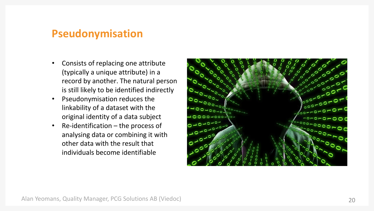### **Pseudonymisation**

- Consists of replacing one attribute (typically a unique attribute) in a record by another. The natural person is still likely to be identified indirectly
- Pseudonymisation reduces the linkability of a dataset with the original identity of a data subject
- Re-identification the process of analysing data or combining it with other data with the result that individuals become identifiable

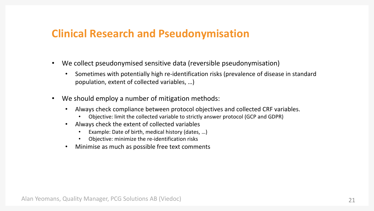### **Clinical Research and Pseudonymisation**

- We collect pseudonymised sensitive data (reversible pseudonymisation)
	- Sometimes with potentially high re-identification risks (prevalence of disease in standard population, extent of collected variables, …)
- We should employ a number of mitigation methods:
	- Always check compliance between protocol objectives and collected CRF variables.
		- Objective: limit the collected variable to strictly answer protocol (GCP and GDPR)
	- Always check the extent of collected variables
		- Example: Date of birth, medical history (dates, ...)
		- Objective: minimize the re-identification risks
	- Minimise as much as possible free text comments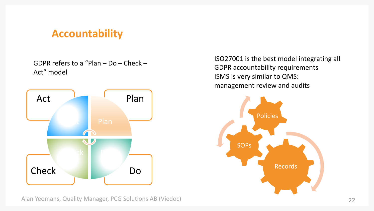# **Accountability**

GDPR refers to a "Plan – Do – Check – Act" model



Alan Yeomans, Quality Manager, PCG Solutions AB (Viedoc)

ISO27001 is the best model integrating all GDPR accountability requirements ISMS is very similar to QMS: management review and audits

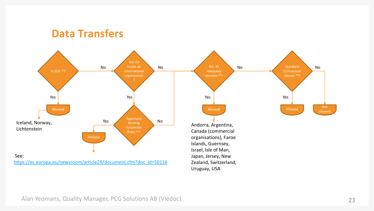### **Data Transfers**



Alan Yeomans, Quality Manager, PCG Solutions AB (Viedoc)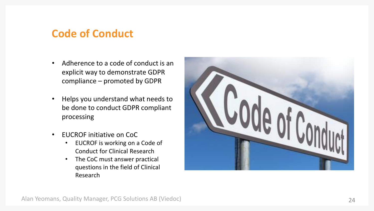# **Code of Conduct**

- Adherence to a code of conduct is an explicit way to demonstrate GDPR compliance – promoted by GDPR
- Helps you understand what needs to be done to conduct GDPR compliant processing
- EUCROF initiative on CoC
	- EUCROF is working on a Code of Conduct for Clinical Research
	- The CoC must answer practical questions in the field of Clinical Research

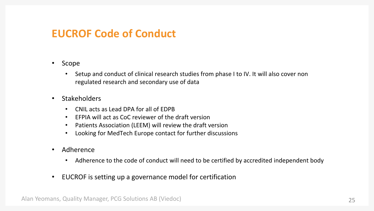### **EUCROF Code of Conduct**

#### • Scope

• Setup and conduct of clinical research studies from phase I to IV. It will also cover non regulated research and secondary use of data

#### • Stakeholders

- CNIL acts as Lead DPA for all of EDPB
- EFPIA will act as CoC reviewer of the draft version
- Patients Association (LEEM) will review the draft version
- Looking for MedTech Europe contact for further discussions
- Adherence
	- Adherence to the code of conduct will need to be certified by accredited independent body
- EUCROF is setting up a governance model for certification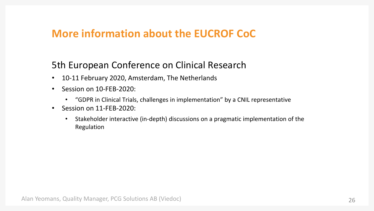# **More information about the EUCROF CoC**

### 5th European Conference on Clinical Research

- 10-11 February 2020, Amsterdam, The Netherlands
- Session on 10-FEB-2020:
	- "GDPR in Clinical Trials, challenges in implementation" by a CNIL representative
- Session on 11-FEB-2020:
	- Stakeholder interactive (in-depth) discussions on a pragmatic implementation of the Regulation